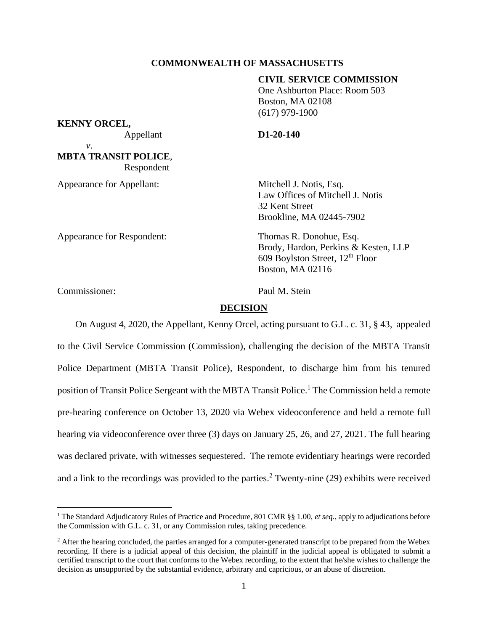## **COMMONWEALTH OF MASSACHUSETTS**

# **CIVIL SERVICE COMMISSION**

One Ashburton Place: Room 503 Boston, MA 02108 (617) 979-1900

**KENNY ORCEL,**

Appellant **D1-20-140**

*v*. **MBTA TRANSIT POLICE**, Respondent

Appearance for Appellant: Mitchell J. Notis, Esq.

Law Offices of Mitchell J. Notis 32 Kent Street Brookline, MA 02445-7902

Appearance for Respondent: Thomas R. Donohue, Esq.

Brody, Hardon, Perkins & Kesten, LLP 609 Boylston Street, 12<sup>th</sup> Floor Boston, MA 02116

Commissioner: Paul M. Stein

# **DECISION**

On August 4, 2020, the Appellant, Kenny Orcel, acting pursuant to G.L. c. 31, § 43, appealed to the Civil Service Commission (Commission), challenging the decision of the MBTA Transit Police Department (MBTA Transit Police), Respondent, to discharge him from his tenured position of Transit Police Sergeant with the MBTA Transit Police.<sup>1</sup> The Commission held a remote pre-hearing conference on October 13, 2020 via Webex videoconference and held a remote full hearing via videoconference over three (3) days on January 25, 26, and 27, 2021. The full hearing was declared private, with witnesses sequestered. The remote evidentiary hearings were recorded and a link to the recordings was provided to the parties.<sup>2</sup> Twenty-nine  $(29)$  exhibits were received

<sup>1</sup> The Standard Adjudicatory Rules of Practice and Procedure, 801 CMR §§ 1.00, *et seq.*, apply to adjudications before the Commission with G.L. c. 31, or any Commission rules, taking precedence.

<sup>&</sup>lt;sup>2</sup> After the hearing concluded, the parties arranged for a computer-generated transcript to be prepared from the Webex recording. If there is a judicial appeal of this decision, the plaintiff in the judicial appeal is obligated to submit a certified transcript to the court that conforms to the Webex recording, to the extent that he/she wishes to challenge the decision as unsupported by the substantial evidence, arbitrary and capricious, or an abuse of discretion.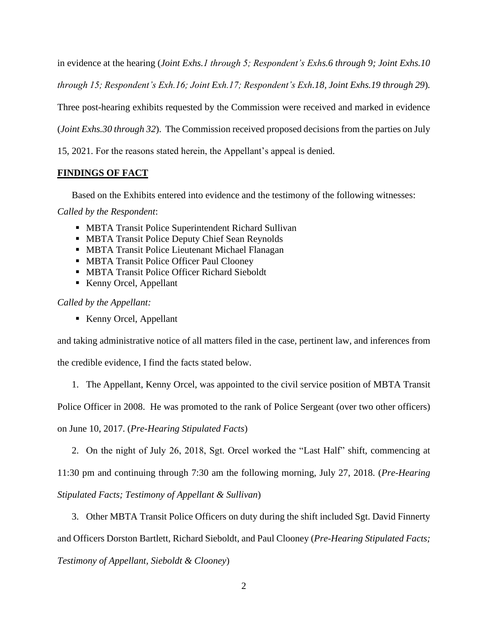in evidence at the hearing (*Joint Exhs.1 through 5; Respondent's Exhs.6 through 9; Joint Exhs.10 through 15; Respondent's Exh.16; Joint Exh.17; Respondent's Exh.18, Joint Exhs.19 through 29*)*.*  Three post-hearing exhibits requested by the Commission were received and marked in evidence (*Joint Exhs.30 through 32*). The Commission received proposed decisions from the parties on July 15, 2021. For the reasons stated herein, the Appellant's appeal is denied.

# **FINDINGS OF FACT**

Based on the Exhibits entered into evidence and the testimony of the following witnesses:

*Called by the Respondent*:

- MBTA Transit Police Superintendent Richard Sullivan
- MBTA Transit Police Deputy Chief Sean Reynolds
- MBTA Transit Police Lieutenant Michael Flanagan
- MBTA Transit Police Officer Paul Clooney
- MBTA Transit Police Officer Richard Sieboldt
- Kenny Orcel, Appellant

# *Called by the Appellant:*

■ Kenny Orcel, Appellant

and taking administrative notice of all matters filed in the case, pertinent law, and inferences from

the credible evidence, I find the facts stated below.

1. The Appellant, Kenny Orcel, was appointed to the civil service position of MBTA Transit

Police Officer in 2008. He was promoted to the rank of Police Sergeant (over two other officers)

on June 10, 2017. (*Pre-Hearing Stipulated Facts*)

2. On the night of July 26, 2018, Sgt. Orcel worked the "Last Half" shift, commencing at

11:30 pm and continuing through 7:30 am the following morning, July 27, 2018. (*Pre-Hearing* 

*Stipulated Facts; Testimony of Appellant & Sullivan*)

3. Other MBTA Transit Police Officers on duty during the shift included Sgt. David Finnerty

and Officers Dorston Bartlett, Richard Sieboldt, and Paul Clooney (*Pre-Hearing Stipulated Facts;* 

*Testimony of Appellant, Sieboldt & Clooney*)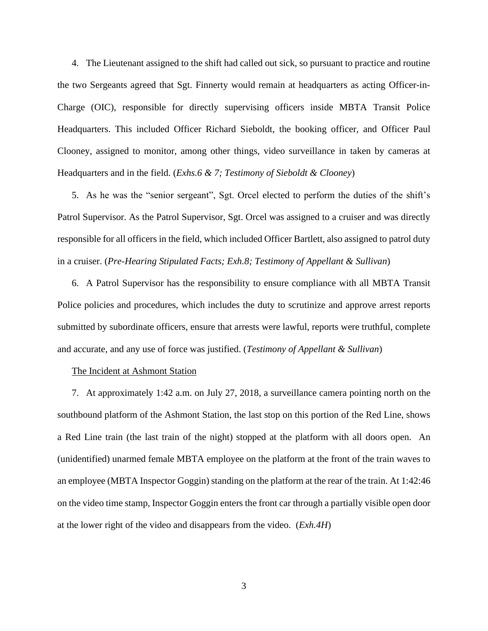4. The Lieutenant assigned to the shift had called out sick, so pursuant to practice and routine the two Sergeants agreed that Sgt. Finnerty would remain at headquarters as acting Officer-in-Charge (OIC), responsible for directly supervising officers inside MBTA Transit Police Headquarters. This included Officer Richard Sieboldt, the booking officer, and Officer Paul Clooney, assigned to monitor, among other things, video surveillance in taken by cameras at Headquarters and in the field. (*Exhs.6 & 7; Testimony of Sieboldt & Clooney*)

5. As he was the "senior sergeant", Sgt. Orcel elected to perform the duties of the shift's Patrol Supervisor. As the Patrol Supervisor, Sgt. Orcel was assigned to a cruiser and was directly responsible for all officers in the field, which included Officer Bartlett, also assigned to patrol duty in a cruiser. (*Pre-Hearing Stipulated Facts; Exh.8; Testimony of Appellant & Sullivan*)

6. A Patrol Supervisor has the responsibility to ensure compliance with all MBTA Transit Police policies and procedures, which includes the duty to scrutinize and approve arrest reports submitted by subordinate officers, ensure that arrests were lawful, reports were truthful, complete and accurate, and any use of force was justified. (*Testimony of Appellant & Sullivan*)

#### The Incident at Ashmont Station

7. At approximately 1:42 a.m. on July 27, 2018, a surveillance camera pointing north on the southbound platform of the Ashmont Station, the last stop on this portion of the Red Line, shows a Red Line train (the last train of the night) stopped at the platform with all doors open. An (unidentified) unarmed female MBTA employee on the platform at the front of the train waves to an employee (MBTA Inspector Goggin) standing on the platform at the rear of the train. At 1:42:46 on the video time stamp, Inspector Goggin enters the front car through a partially visible open door at the lower right of the video and disappears from the video. (*Exh.4H*)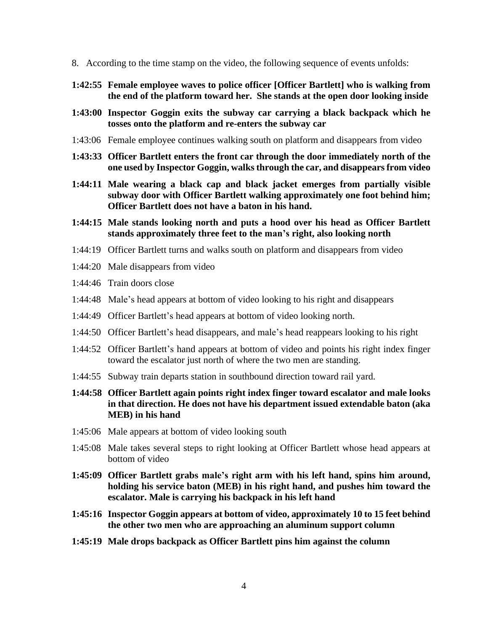- 8. According to the time stamp on the video, the following sequence of events unfolds:
- **1:42:55 Female employee waves to police officer [Officer Bartlett] who is walking from the end of the platform toward her. She stands at the open door looking inside**
- **1:43:00 Inspector Goggin exits the subway car carrying a black backpack which he tosses onto the platform and re-enters the subway car**
- 1:43:06 Female employee continues walking south on platform and disappears from video
- **1:43:33 Officer Bartlett enters the front car through the door immediately north of the one used by Inspector Goggin, walksthrough the car, and disappears from video**
- **1:44:11 Male wearing a black cap and black jacket emerges from partially visible subway door with Officer Bartlett walking approximately one foot behind him; Officer Bartlett does not have a baton in his hand.**
- **1:44:15 Male stands looking north and puts a hood over his head as Officer Bartlett stands approximately three feet to the man's right, also looking north**
- 1:44:19 Officer Bartlett turns and walks south on platform and disappears from video
- 1:44:20 Male disappears from video
- 1:44:46 Train doors close
- 1:44:48 Male's head appears at bottom of video looking to his right and disappears
- 1:44:49 Officer Bartlett's head appears at bottom of video looking north.
- 1:44:50 Officer Bartlett's head disappears, and male's head reappears looking to his right
- 1:44:52 Officer Bartlett's hand appears at bottom of video and points his right index finger toward the escalator just north of where the two men are standing.
- 1:44:55 Subway train departs station in southbound direction toward rail yard.
- **1:44:58 Officer Bartlett again points right index finger toward escalator and male looks in that direction. He does not have his department issued extendable baton (aka MEB) in his hand**
- 1:45:06 Male appears at bottom of video looking south
- 1:45:08 Male takes several steps to right looking at Officer Bartlett whose head appears at bottom of video
- **1:45:09 Officer Bartlett grabs male's right arm with his left hand, spins him around, holding his service baton (MEB) in his right hand, and pushes him toward the escalator. Male is carrying his backpack in his left hand**
- **1:45:16 Inspector Goggin appears at bottom of video, approximately 10 to 15 feet behind the other two men who are approaching an aluminum support column**
- **1:45:19 Male drops backpack as Officer Bartlett pins him against the column**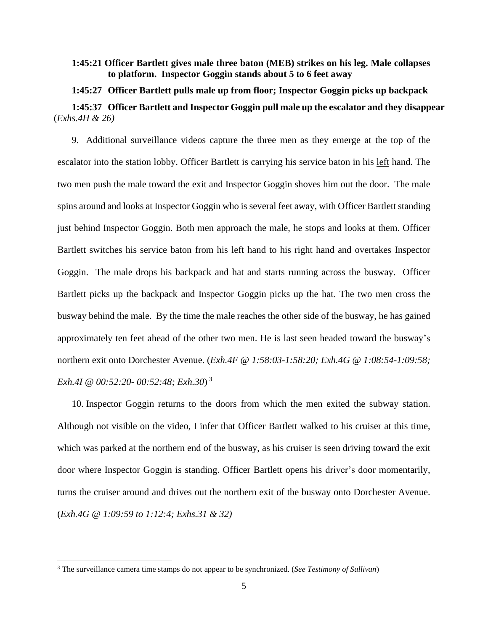# **1:45:21 Officer Bartlett gives male three baton (MEB) strikes on his leg. Male collapses to platform. Inspector Goggin stands about 5 to 6 feet away**

**1:45:27 Officer Bartlett pulls male up from floor; Inspector Goggin picks up backpack 1:45:37 Officer Bartlett and Inspector Goggin pull male up the escalator and they disappear** (*Exhs.4H & 26)*

9. Additional surveillance videos capture the three men as they emerge at the top of the escalator into the station lobby. Officer Bartlett is carrying his service baton in his left hand. The two men push the male toward the exit and Inspector Goggin shoves him out the door. The male spins around and looks at Inspector Goggin who is several feet away, with Officer Bartlett standing just behind Inspector Goggin. Both men approach the male, he stops and looks at them. Officer Bartlett switches his service baton from his left hand to his right hand and overtakes Inspector Goggin. The male drops his backpack and hat and starts running across the busway. Officer Bartlett picks up the backpack and Inspector Goggin picks up the hat. The two men cross the busway behind the male. By the time the male reaches the other side of the busway, he has gained approximately ten feet ahead of the other two men. He is last seen headed toward the busway's northern exit onto Dorchester Avenue. (*Exh.4F @ 1:58:03-1:58:20; Exh.4G @ 1:08:54-1:09:58; Exh.4I @ 00:52:20- 00:52:48; Exh.30*) 3

10. Inspector Goggin returns to the doors from which the men exited the subway station. Although not visible on the video, I infer that Officer Bartlett walked to his cruiser at this time, which was parked at the northern end of the busway, as his cruiser is seen driving toward the exit door where Inspector Goggin is standing. Officer Bartlett opens his driver's door momentarily, turns the cruiser around and drives out the northern exit of the busway onto Dorchester Avenue. (*Exh.4G @ 1:09:59 to 1:12:4; Exhs.31 & 32)*

<sup>3</sup> The surveillance camera time stamps do not appear to be synchronized. (*See Testimony of Sullivan*)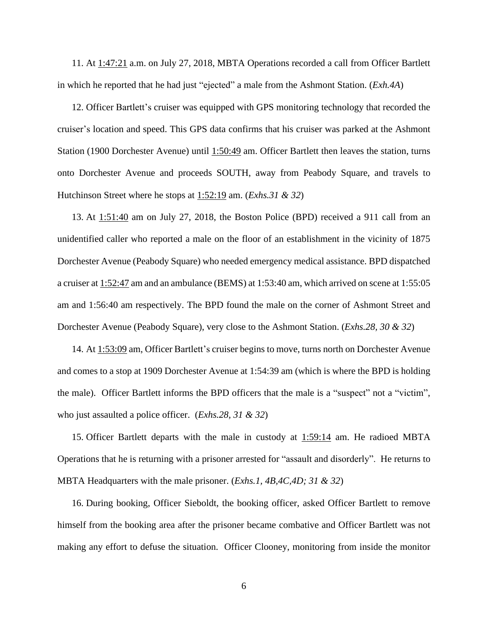11. At 1:47:21 a.m. on July 27, 2018, MBTA Operations recorded a call from Officer Bartlett in which he reported that he had just "ejected" a male from the Ashmont Station. (*Exh.4A*)

12. Officer Bartlett's cruiser was equipped with GPS monitoring technology that recorded the cruiser's location and speed. This GPS data confirms that his cruiser was parked at the Ashmont Station (1900 Dorchester Avenue) until 1:50:49 am. Officer Bartlett then leaves the station, turns onto Dorchester Avenue and proceeds SOUTH, away from Peabody Square, and travels to Hutchinson Street where he stops at 1:52:19 am. (*Exhs.31 & 32*)

13. At 1:51:40 am on July 27, 2018, the Boston Police (BPD) received a 911 call from an unidentified caller who reported a male on the floor of an establishment in the vicinity of 1875 Dorchester Avenue (Peabody Square) who needed emergency medical assistance. BPD dispatched a cruiser at 1:52:47 am and an ambulance (BEMS) at 1:53:40 am, which arrived on scene at 1:55:05 am and 1:56:40 am respectively. The BPD found the male on the corner of Ashmont Street and Dorchester Avenue (Peabody Square), very close to the Ashmont Station. (*Exhs.28, 30 & 32*)

14. At 1:53:09 am, Officer Bartlett's cruiser begins to move, turns north on Dorchester Avenue and comes to a stop at 1909 Dorchester Avenue at 1:54:39 am (which is where the BPD is holding the male). Officer Bartlett informs the BPD officers that the male is a "suspect" not a "victim", who just assaulted a police officer. (*Exhs.28, 31 & 32*)

15. Officer Bartlett departs with the male in custody at 1:59:14 am. He radioed MBTA Operations that he is returning with a prisoner arrested for "assault and disorderly". He returns to MBTA Headquarters with the male prisoner. (*Exhs.1, 4B,4C,4D; 31 & 32*)

16. During booking, Officer Sieboldt, the booking officer, asked Officer Bartlett to remove himself from the booking area after the prisoner became combative and Officer Bartlett was not making any effort to defuse the situation. Officer Clooney, monitoring from inside the monitor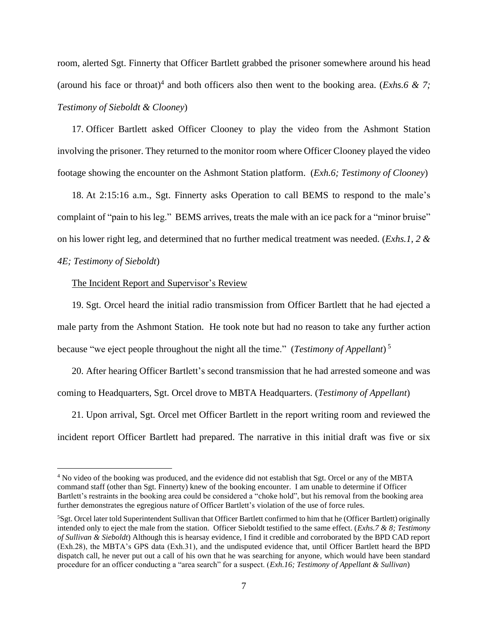room, alerted Sgt. Finnerty that Officer Bartlett grabbed the prisoner somewhere around his head (around his face or throat)<sup>4</sup> and both officers also then went to the booking area. (*Exhs.6 & 7*; *Testimony of Sieboldt & Clooney*)

17. Officer Bartlett asked Officer Clooney to play the video from the Ashmont Station involving the prisoner. They returned to the monitor room where Officer Clooney played the video footage showing the encounter on the Ashmont Station platform. (*Exh.6; Testimony of Clooney*)

18. At 2:15:16 a.m., Sgt. Finnerty asks Operation to call BEMS to respond to the male's complaint of "pain to his leg." BEMS arrives, treats the male with an ice pack for a "minor bruise" on his lower right leg, and determined that no further medical treatment was needed. (*Exhs.1, 2 & 4E; Testimony of Sieboldt*)

#### The Incident Report and Supervisor's Review

19. Sgt. Orcel heard the initial radio transmission from Officer Bartlett that he had ejected a male party from the Ashmont Station. He took note but had no reason to take any further action because "we eject people throughout the night all the time." (*Testimony of Appellant*) 5

20. After hearing Officer Bartlett's second transmission that he had arrested someone and was coming to Headquarters, Sgt. Orcel drove to MBTA Headquarters. (*Testimony of Appellant*)

21. Upon arrival, Sgt. Orcel met Officer Bartlett in the report writing room and reviewed the incident report Officer Bartlett had prepared. The narrative in this initial draft was five or six

<sup>&</sup>lt;sup>4</sup> No video of the booking was produced, and the evidence did not establish that Sgt. Orcel or any of the MBTA command staff (other than Sgt. Finnerty) knew of the booking encounter. I am unable to determine if Officer Bartlett's restraints in the booking area could be considered a "choke hold", but his removal from the booking area further demonstrates the egregious nature of Officer Bartlett's violation of the use of force rules.

<sup>5</sup>Sgt. Orcel later told Superintendent Sullivan that Officer Bartlett confirmed to him that he (Officer Bartlett) originally intended only to eject the male from the station. Officer Sieboldt testified to the same effect. (*Exhs.7 & 8; Testimony of Sullivan & Sieboldt*) Although this is hearsay evidence, I find it credible and corroborated by the BPD CAD report (Exh.28), the MBTA's GPS data (Exh.31), and the undisputed evidence that, until Officer Bartlett heard the BPD dispatch call, he never put out a call of his own that he was searching for anyone, which would have been standard procedure for an officer conducting a "area search" for a suspect. (*Exh.16; Testimony of Appellant & Sullivan*)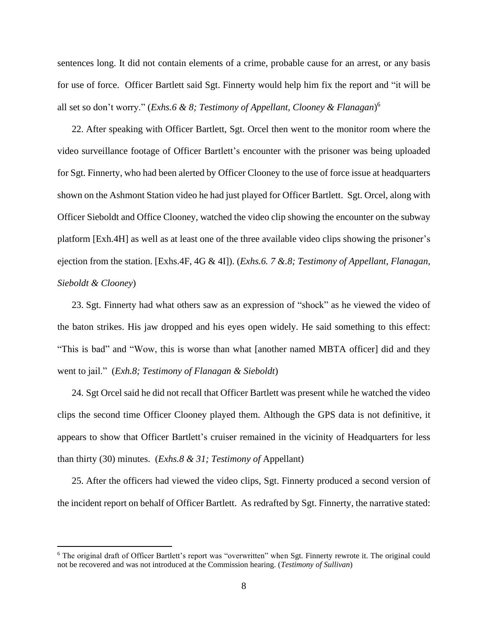sentences long. It did not contain elements of a crime, probable cause for an arrest, or any basis for use of force. Officer Bartlett said Sgt. Finnerty would help him fix the report and "it will be all set so don't worry." (*Exhs.6 & 8; Testimony of Appellant, Clooney & Flanagan*) 6

22. After speaking with Officer Bartlett, Sgt. Orcel then went to the monitor room where the video surveillance footage of Officer Bartlett's encounter with the prisoner was being uploaded for Sgt. Finnerty, who had been alerted by Officer Clooney to the use of force issue at headquarters shown on the Ashmont Station video he had just played for Officer Bartlett. Sgt. Orcel, along with Officer Sieboldt and Office Clooney, watched the video clip showing the encounter on the subway platform [Exh.4H] as well as at least one of the three available video clips showing the prisoner's ejection from the station. [Exhs.4F, 4G & 4I]). (*Exhs.6. 7 &.8; Testimony of Appellant, Flanagan, Sieboldt & Clooney*)

23. Sgt. Finnerty had what others saw as an expression of "shock" as he viewed the video of the baton strikes. His jaw dropped and his eyes open widely. He said something to this effect: "This is bad" and "Wow, this is worse than what [another named MBTA officer] did and they went to jail." (*Exh.8; Testimony of Flanagan & Sieboldt*)

24. Sgt Orcel said he did not recall that Officer Bartlett was present while he watched the video clips the second time Officer Clooney played them. Although the GPS data is not definitive, it appears to show that Officer Bartlett's cruiser remained in the vicinity of Headquarters for less than thirty (30) minutes. (*Exhs.8 & 31; Testimony of* Appellant)

25. After the officers had viewed the video clips, Sgt. Finnerty produced a second version of the incident report on behalf of Officer Bartlett. As redrafted by Sgt. Finnerty, the narrative stated:

<sup>6</sup> The original draft of Officer Bartlett's report was "overwritten" when Sgt. Finnerty rewrote it. The original could not be recovered and was not introduced at the Commission hearing. (*Testimony of Sullivan*)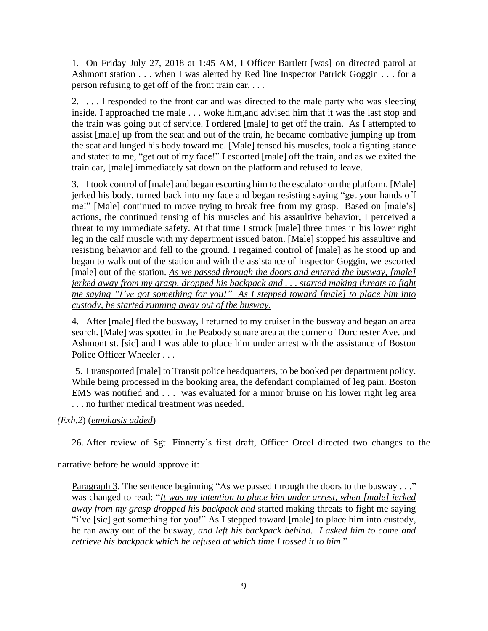1. On Friday July 27, 2018 at 1:45 AM, I Officer Bartlett [was] on directed patrol at Ashmont station . . . when I was alerted by Red line Inspector Patrick Goggin . . . for a person refusing to get off of the front train car. . . .

2. . . . I responded to the front car and was directed to the male party who was sleeping inside. I approached the male . . . woke him,and advised him that it was the last stop and the train was going out of service. I ordered [male] to get off the train. As I attempted to assist [male] up from the seat and out of the train, he became combative jumping up from the seat and lunged his body toward me. [Male] tensed his muscles, took a fighting stance and stated to me, "get out of my face!" I escorted [male] off the train, and as we exited the train car, [male] immediately sat down on the platform and refused to leave.

3. I took control of [male] and began escorting him to the escalator on the platform. [Male] jerked his body, turned back into my face and began resisting saying "get your hands off me!" [Male] continued to move trying to break free from my grasp. Based on [male's] actions, the continued tensing of his muscles and his assaultive behavior, I perceived a threat to my immediate safety. At that time I struck [male] three times in his lower right leg in the calf muscle with my department issued baton. [Male] stopped his assaultive and resisting behavior and fell to the ground. I regained control of [male] as he stood up and began to walk out of the station and with the assistance of Inspector Goggin, we escorted [male] out of the station. *As we passed through the doors and entered the busway, [male] jerked away from my grasp, dropped his backpack and . . . started making threats to fight me saying "I've got something for you!" As I stepped toward [male] to place him into custody, he started running away out of the busway.*

4. After [male] fled the busway, I returned to my cruiser in the busway and began an area search. [Male] was spotted in the Peabody square area at the corner of Dorchester Ave. and Ashmont st. [sic] and I was able to place him under arrest with the assistance of Boston Police Officer Wheeler . . .

5. I transported [male] to Transit police headquarters, to be booked per department policy. While being processed in the booking area, the defendant complained of leg pain. Boston EMS was notified and . . . was evaluated for a minor bruise on his lower right leg area . . . no further medical treatment was needed.

*(Exh.2*) (*emphasis added*)

26. After review of Sgt. Finnerty's first draft, Officer Orcel directed two changes to the

narrative before he would approve it:

Paragraph 3. The sentence beginning "As we passed through the doors to the busway . . ." was changed to read: "*It was my intention to place him under arrest, when [male] jerked away from my grasp dropped his backpack and* started making threats to fight me saying "i've [sic] got something for you!" As I stepped toward [male] to place him into custody, he ran away out of the busway*, and left his backpack behind. I asked him to come and retrieve his backpack which he refused at which time I tossed it to him*."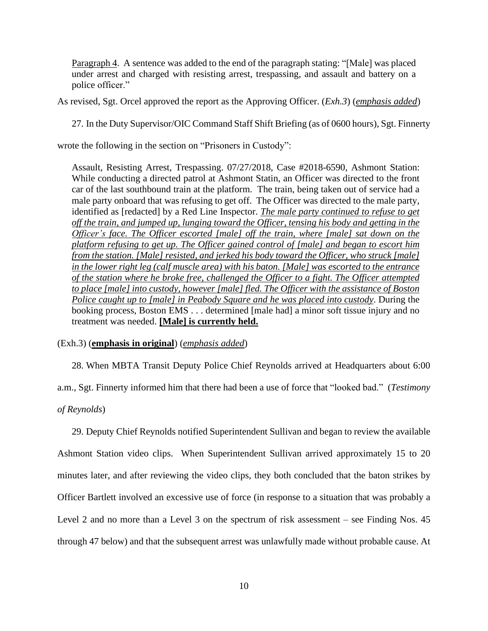Paragraph 4. A sentence was added to the end of the paragraph stating: "[Male] was placed under arrest and charged with resisting arrest, trespassing, and assault and battery on a police officer."

As revised, Sgt. Orcel approved the report as the Approving Officer. (*Exh.3*) (*emphasis added*)

27. In the Duty Supervisor/OIC Command Staff Shift Briefing (as of 0600 hours), Sgt. Finnerty

wrote the following in the section on "Prisoners in Custody":

Assault, Resisting Arrest, Trespassing. 07/27/2018, Case #2018-6590, Ashmont Station: While conducting a directed patrol at Ashmont Statin, an Officer was directed to the front car of the last southbound train at the platform. The train, being taken out of service had a male party onboard that was refusing to get off. The Officer was directed to the male party, identified as [redacted] by a Red Line Inspector. *The male party continued to refuse to get off the train, and jumped up, lunging toward the Officer, tensing his body and getting in the Officer's face. The Officer escorted [male] off the train, where [male] sat down on the platform refusing to get up. The Officer gained control of [male] and began to escort him from the station. [Male] resisted, and jerked his body toward the Officer, who struck [male] in the lower right leg (calf muscle area) with his baton. [Male] was escorted to the entrance of the station where he broke free, challenged the Officer to a fight. The Officer attempted to place [male] into custody, however [male] fled. The Officer with the assistance of Boston Police caught up to [male] in Peabody Square and he was placed into custody*. During the booking process, Boston EMS . . . determined [male had] a minor soft tissue injury and no treatment was needed. **[Male] is currently held.**

(Exh.3) (**emphasis in original**) (*emphasis added*)

28. When MBTA Transit Deputy Police Chief Reynolds arrived at Headquarters about 6:00 a.m., Sgt. Finnerty informed him that there had been a use of force that "looked bad." (*Testimony*

*of Reynolds*)

29. Deputy Chief Reynolds notified Superintendent Sullivan and began to review the available Ashmont Station video clips. When Superintendent Sullivan arrived approximately 15 to 20 minutes later, and after reviewing the video clips, they both concluded that the baton strikes by Officer Bartlett involved an excessive use of force (in response to a situation that was probably a Level 2 and no more than a Level 3 on the spectrum of risk assessment – see Finding Nos. 45 through 47 below) and that the subsequent arrest was unlawfully made without probable cause. At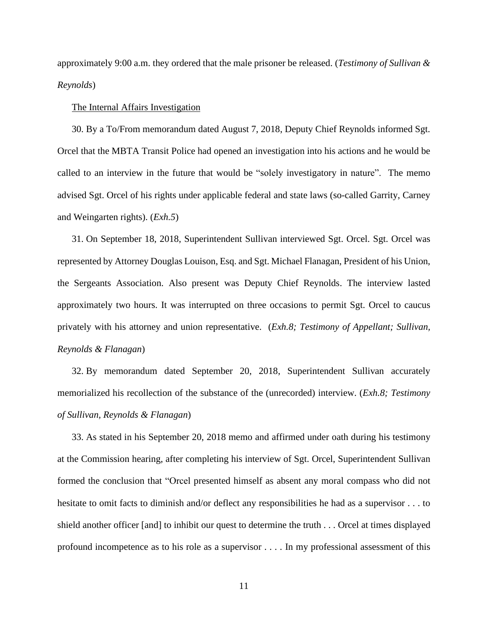approximately 9:00 a.m. they ordered that the male prisoner be released. (*Testimony of Sullivan & Reynolds*)

#### The Internal Affairs Investigation

30. By a To/From memorandum dated August 7, 2018, Deputy Chief Reynolds informed Sgt. Orcel that the MBTA Transit Police had opened an investigation into his actions and he would be called to an interview in the future that would be "solely investigatory in nature". The memo advised Sgt. Orcel of his rights under applicable federal and state laws (so-called Garrity, Carney and Weingarten rights). (*Exh.5*)

31. On September 18, 2018, Superintendent Sullivan interviewed Sgt. Orcel. Sgt. Orcel was represented by Attorney Douglas Louison, Esq. and Sgt. Michael Flanagan, President of his Union, the Sergeants Association. Also present was Deputy Chief Reynolds. The interview lasted approximately two hours. It was interrupted on three occasions to permit Sgt. Orcel to caucus privately with his attorney and union representative. (*Exh.8; Testimony of Appellant; Sullivan, Reynolds & Flanagan*)

32. By memorandum dated September 20, 2018, Superintendent Sullivan accurately memorialized his recollection of the substance of the (unrecorded) interview. (*Exh.8; Testimony of Sullivan, Reynolds & Flanagan*)

33. As stated in his September 20, 2018 memo and affirmed under oath during his testimony at the Commission hearing, after completing his interview of Sgt. Orcel, Superintendent Sullivan formed the conclusion that "Orcel presented himself as absent any moral compass who did not hesitate to omit facts to diminish and/or deflect any responsibilities he had as a supervisor . . . to shield another officer [and] to inhibit our quest to determine the truth . . . Orcel at times displayed profound incompetence as to his role as a supervisor . . . . In my professional assessment of this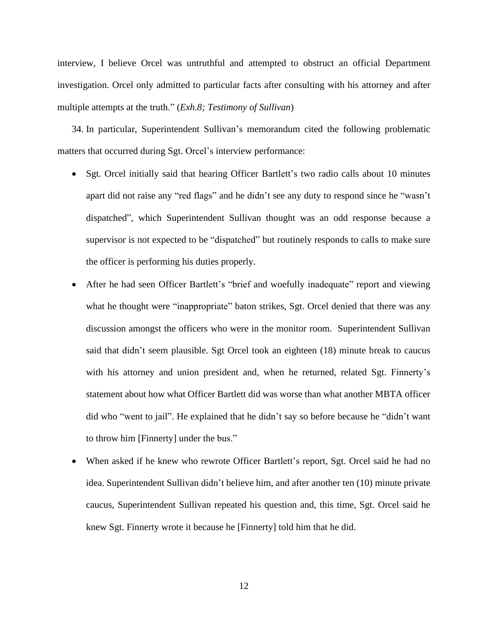interview, I believe Orcel was untruthful and attempted to obstruct an official Department investigation. Orcel only admitted to particular facts after consulting with his attorney and after multiple attempts at the truth." (*Exh.8; Testimony of Sullivan*)

34. In particular, Superintendent Sullivan's memorandum cited the following problematic matters that occurred during Sgt. Orcel's interview performance:

- Sgt. Orcel initially said that hearing Officer Bartlett's two radio calls about 10 minutes apart did not raise any "red flags" and he didn't see any duty to respond since he "wasn't dispatched", which Superintendent Sullivan thought was an odd response because a supervisor is not expected to be "dispatched" but routinely responds to calls to make sure the officer is performing his duties properly.
- After he had seen Officer Bartlett's "brief and woefully inadequate" report and viewing what he thought were "inappropriate" baton strikes, Sgt. Orcel denied that there was any discussion amongst the officers who were in the monitor room. Superintendent Sullivan said that didn't seem plausible. Sgt Orcel took an eighteen (18) minute break to caucus with his attorney and union president and, when he returned, related Sgt. Finnerty's statement about how what Officer Bartlett did was worse than what another MBTA officer did who "went to jail". He explained that he didn't say so before because he "didn't want to throw him [Finnerty] under the bus."
- When asked if he knew who rewrote Officer Bartlett's report, Sgt. Orcel said he had no idea. Superintendent Sullivan didn't believe him, and after another ten (10) minute private caucus, Superintendent Sullivan repeated his question and, this time, Sgt. Orcel said he knew Sgt. Finnerty wrote it because he [Finnerty] told him that he did.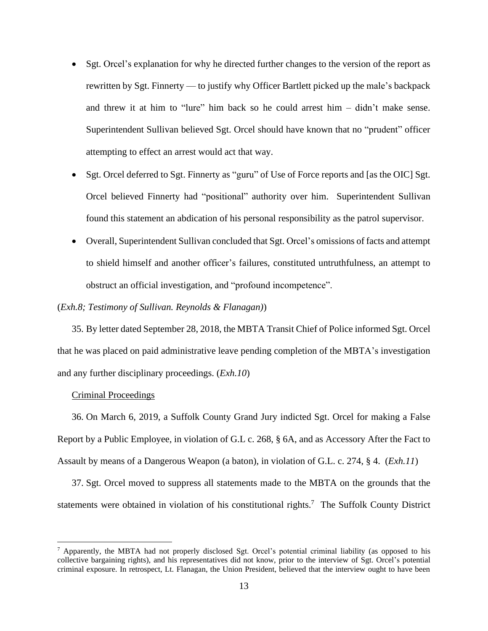- Sgt. Orcel's explanation for why he directed further changes to the version of the report as rewritten by Sgt. Finnerty — to justify why Officer Bartlett picked up the male's backpack and threw it at him to "lure" him back so he could arrest him – didn't make sense. Superintendent Sullivan believed Sgt. Orcel should have known that no "prudent" officer attempting to effect an arrest would act that way.
- Sgt. Orcel deferred to Sgt. Finnerty as "guru" of Use of Force reports and [as the OIC] Sgt. Orcel believed Finnerty had "positional" authority over him. Superintendent Sullivan found this statement an abdication of his personal responsibility as the patrol supervisor.
- Overall, Superintendent Sullivan concluded that Sgt. Orcel's omissions of facts and attempt to shield himself and another officer's failures, constituted untruthfulness, an attempt to obstruct an official investigation, and "profound incompetence".

## (*Exh.8; Testimony of Sullivan. Reynolds & Flanagan)*)

35. By letter dated September 28, 2018, the MBTA Transit Chief of Police informed Sgt. Orcel that he was placed on paid administrative leave pending completion of the MBTA's investigation and any further disciplinary proceedings. (*Exh.10*)

#### Criminal Proceedings

36. On March 6, 2019, a Suffolk County Grand Jury indicted Sgt. Orcel for making a False Report by a Public Employee, in violation of G.L c. 268, § 6A, and as Accessory After the Fact to Assault by means of a Dangerous Weapon (a baton), in violation of G.L. c. 274, § 4. (*Exh.11*)

37. Sgt. Orcel moved to suppress all statements made to the MBTA on the grounds that the statements were obtained in violation of his constitutional rights.<sup>7</sup> The Suffolk County District

<sup>7</sup> Apparently, the MBTA had not properly disclosed Sgt. Orcel's potential criminal liability (as opposed to his collective bargaining rights), and his representatives did not know, prior to the interview of Sgt. Orcel's potential criminal exposure. In retrospect, Lt. Flanagan, the Union President, believed that the interview ought to have been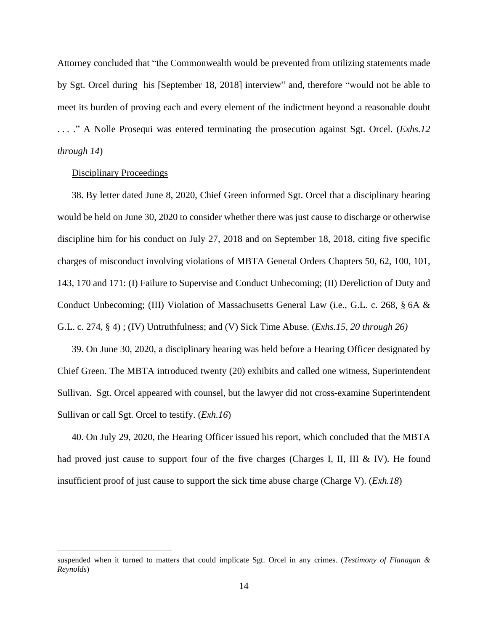Attorney concluded that "the Commonwealth would be prevented from utilizing statements made by Sgt. Orcel during his [September 18, 2018] interview" and, therefore "would not be able to meet its burden of proving each and every element of the indictment beyond a reasonable doubt . . . ." A Nolle Prosequi was entered terminating the prosecution against Sgt. Orcel. (*Exhs.12 through 14*)

### Disciplinary Proceedings

38. By letter dated June 8, 2020, Chief Green informed Sgt. Orcel that a disciplinary hearing would be held on June 30, 2020 to consider whether there was just cause to discharge or otherwise discipline him for his conduct on July 27, 2018 and on September 18, 2018, citing five specific charges of misconduct involving violations of MBTA General Orders Chapters 50, 62, 100, 101, 143, 170 and 171: (I) Failure to Supervise and Conduct Unbecoming; (II) Dereliction of Duty and Conduct Unbecoming; (III) Violation of Massachusetts General Law (i.e., G.L. c. 268, § 6A & G.L. c. 274, § 4) ; (IV) Untruthfulness; and (V) Sick Time Abuse. (*Exhs.15, 20 through 26)*

39. On June 30, 2020, a disciplinary hearing was held before a Hearing Officer designated by Chief Green. The MBTA introduced twenty (20) exhibits and called one witness, Superintendent Sullivan. Sgt. Orcel appeared with counsel, but the lawyer did not cross-examine Superintendent Sullivan or call Sgt. Orcel to testify. (*Exh.16*)

40. On July 29, 2020, the Hearing Officer issued his report, which concluded that the MBTA had proved just cause to support four of the five charges (Charges I, II, III & IV). He found insufficient proof of just cause to support the sick time abuse charge (Charge V). (*Exh.18*)

suspended when it turned to matters that could implicate Sgt. Orcel in any crimes. (*Testimony of Flanagan & Reynolds*)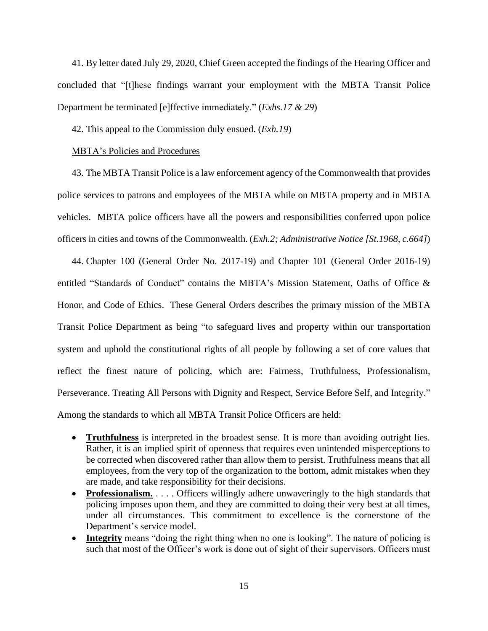41. By letter dated July 29, 2020, Chief Green accepted the findings of the Hearing Officer and concluded that "[t]hese findings warrant your employment with the MBTA Transit Police Department be terminated [e]ffective immediately." (*Exhs.17 & 29*)

42. This appeal to the Commission duly ensued. (*Exh.19*)

## MBTA's Policies and Procedures

43. The MBTA Transit Police is a law enforcement agency of the Commonwealth that provides police services to patrons and employees of the MBTA while on MBTA property and in MBTA vehicles. MBTA police officers have all the powers and responsibilities conferred upon police officers in cities and towns of the Commonwealth. (*Exh.2; Administrative Notice [St.1968, c.664]*)

44. Chapter 100 (General Order No. 2017-19) and Chapter 101 (General Order 2016-19) entitled "Standards of Conduct" contains the MBTA's Mission Statement, Oaths of Office & Honor, and Code of Ethics. These General Orders describes the primary mission of the MBTA Transit Police Department as being "to safeguard lives and property within our transportation system and uphold the constitutional rights of all people by following a set of core values that reflect the finest nature of policing, which are: Fairness, Truthfulness, Professionalism, Perseverance. Treating All Persons with Dignity and Respect, Service Before Self, and Integrity." Among the standards to which all MBTA Transit Police Officers are held:

- **Truthfulness** is interpreted in the broadest sense. It is more than avoiding outright lies. Rather, it is an implied spirit of openness that requires even unintended misperceptions to be corrected when discovered rather than allow them to persist. Truthfulness means that all employees, from the very top of the organization to the bottom, admit mistakes when they are made, and take responsibility for their decisions.
- **Professionalism.** . . . . Officers willingly adhere unwaveringly to the high standards that policing imposes upon them, and they are committed to doing their very best at all times, under all circumstances. This commitment to excellence is the cornerstone of the Department's service model.
- **Integrity** means "doing the right thing when no one is looking". The nature of policing is such that most of the Officer's work is done out of sight of their supervisors. Officers must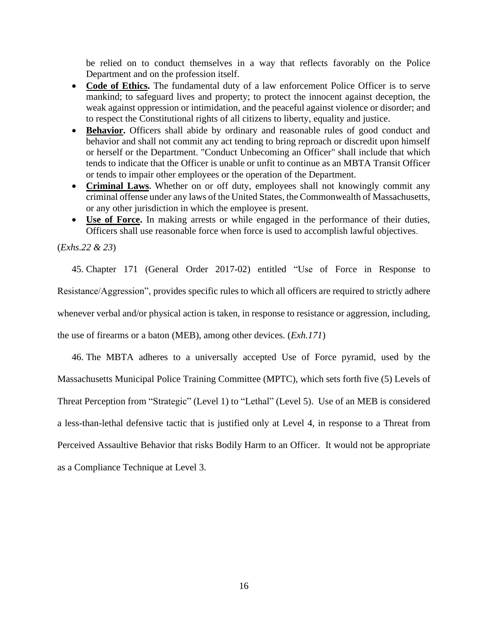be relied on to conduct themselves in a way that reflects favorably on the Police Department and on the profession itself.

- **Code of Ethics.** The fundamental duty of a law enforcement Police Officer is to serve mankind; to safeguard lives and property; to protect the innocent against deception, the weak against oppression or intimidation, and the peaceful against violence or disorder; and to respect the Constitutional rights of all citizens to liberty, equality and justice.
- **Behavior.** Officers shall abide by ordinary and reasonable rules of good conduct and behavior and shall not commit any act tending to bring reproach or discredit upon himself or herself or the Department. "Conduct Unbecoming an Officer" shall include that which tends to indicate that the Officer is unable or unfit to continue as an MBTA Transit Officer or tends to impair other employees or the operation of the Department.
- **Criminal Laws.** Whether on or off duty, employees shall not knowingly commit any criminal offense under any laws of the United States, the Commonwealth of Massachusetts, or any other jurisdiction in which the employee is present.
- **Use of Force.** In making arrests or while engaged in the performance of their duties, Officers shall use reasonable force when force is used to accomplish lawful objectives.

(*Exhs.22 & 23*)

45. Chapter 171 (General Order 2017-02) entitled "Use of Force in Response to Resistance/Aggression", provides specific rules to which all officers are required to strictly adhere whenever verbal and/or physical action is taken, in response to resistance or aggression, including, the use of firearms or a baton (MEB), among other devices. (*Exh.171*)

46. The MBTA adheres to a universally accepted Use of Force pyramid, used by the Massachusetts Municipal Police Training Committee (MPTC), which sets forth five (5) Levels of Threat Perception from "Strategic" (Level 1) to "Lethal" (Level 5). Use of an MEB is considered a less-than-lethal defensive tactic that is justified only at Level 4, in response to a Threat from Perceived Assaultive Behavior that risks Bodily Harm to an Officer. It would not be appropriate as a Compliance Technique at Level 3.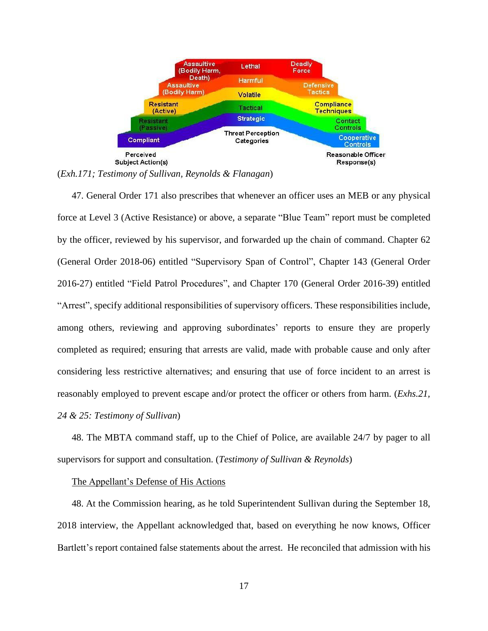

(*Exh.171; Testimony of Sullivan, Reynolds & Flanagan*)

47. General Order 171 also prescribes that whenever an officer uses an MEB or any physical force at Level 3 (Active Resistance) or above, a separate "Blue Team" report must be completed by the officer, reviewed by his supervisor, and forwarded up the chain of command. Chapter 62 (General Order 2018-06) entitled "Supervisory Span of Control", Chapter 143 (General Order 2016-27) entitled "Field Patrol Procedures", and Chapter 170 (General Order 2016-39) entitled "Arrest", specify additional responsibilities of supervisory officers. These responsibilities include, among others, reviewing and approving subordinates' reports to ensure they are properly completed as required; ensuring that arrests are valid, made with probable cause and only after considering less restrictive alternatives; and ensuring that use of force incident to an arrest is reasonably employed to prevent escape and/or protect the officer or others from harm. (*Exhs.21,*

*24 & 25: Testimony of Sullivan*)

48. The MBTA command staff, up to the Chief of Police, are available 24/7 by pager to all supervisors for support and consultation. (*Testimony of Sullivan & Reynolds*)

### The Appellant's Defense of His Actions

48. At the Commission hearing, as he told Superintendent Sullivan during the September 18, 2018 interview, the Appellant acknowledged that, based on everything he now knows, Officer Bartlett's report contained false statements about the arrest. He reconciled that admission with his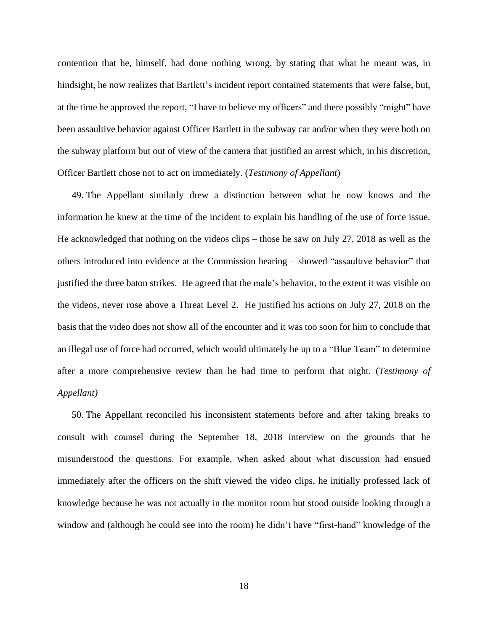contention that he, himself, had done nothing wrong, by stating that what he meant was, in hindsight, he now realizes that Bartlett's incident report contained statements that were false, but, at the time he approved the report, "I have to believe my officers" and there possibly "might" have been assaultive behavior against Officer Bartlett in the subway car and/or when they were both on the subway platform but out of view of the camera that justified an arrest which, in his discretion, Officer Bartlett chose not to act on immediately. (*Testimony of Appellant*)

49. The Appellant similarly drew a distinction between what he now knows and the information he knew at the time of the incident to explain his handling of the use of force issue. He acknowledged that nothing on the videos clips – those he saw on July 27, 2018 as well as the others introduced into evidence at the Commission hearing – showed "assaultive behavior" that justified the three baton strikes. He agreed that the male's behavior, to the extent it was visible on the videos, never rose above a Threat Level 2. He justified his actions on July 27, 2018 on the basis that the video does not show all of the encounter and it was too soon for him to conclude that an illegal use of force had occurred, which would ultimately be up to a "Blue Team" to determine after a more comprehensive review than he had time to perform that night. (*Testimony of Appellant)*

50. The Appellant reconciled his inconsistent statements before and after taking breaks to consult with counsel during the September 18, 2018 interview on the grounds that he misunderstood the questions. For example, when asked about what discussion had ensued immediately after the officers on the shift viewed the video clips, he initially professed lack of knowledge because he was not actually in the monitor room but stood outside looking through a window and (although he could see into the room) he didn't have "first-hand" knowledge of the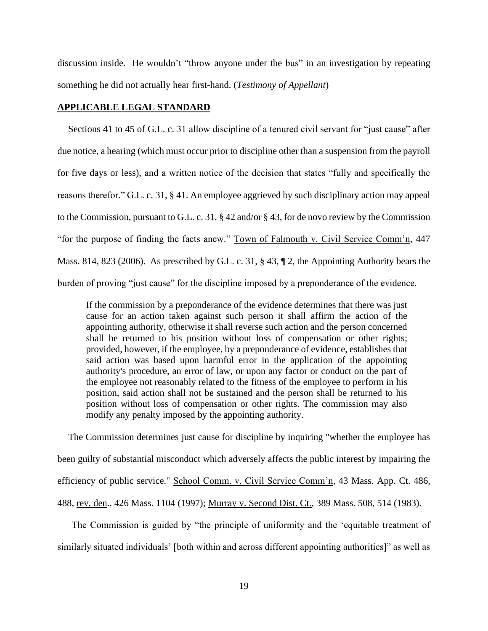discussion inside. He wouldn't "throw anyone under the bus" in an investigation by repeating something he did not actually hear first-hand. (*Testimony of Appellant*)

### **APPLICABLE LEGAL STANDARD**

Sections 41 to 45 of G.L. c. 31 allow discipline of a tenured civil servant for "just cause" after due notice, a hearing (which must occur prior to discipline other than a suspension from the payroll for five days or less), and a written notice of the decision that states "fully and specifically the reasons therefor." G.L. c. 31, § 41. An employee aggrieved by such disciplinary action may appeal to the Commission, pursuant to G.L. c. 31, § 42 and/or § 43, for de novo review by the Commission "for the purpose of finding the facts anew." Town of Falmouth v. Civil Service Comm'n, 447 Mass. 814, 823 (2006). As prescribed by G.L. c. 31, § 43, ¶ 2, the Appointing Authority bears the burden of proving "just cause" for the discipline imposed by a preponderance of the evidence.

If the commission by a preponderance of the evidence determines that there was just cause for an action taken against such person it shall affirm the action of the appointing authority, otherwise it shall reverse such action and the person concerned shall be returned to his position without loss of compensation or other rights; provided, however, if the employee, by a preponderance of evidence, establishes that said action was based upon harmful error in the application of the appointing authority's procedure, an error of law, or upon any factor or conduct on the part of the employee not reasonably related to the fitness of the employee to perform in his position, said action shall not be sustained and the person shall be returned to his position without loss of compensation or other rights. The commission may also modify any penalty imposed by the appointing authority.

The Commission determines just cause for discipline by inquiring "whether the employee has been guilty of substantial misconduct which adversely affects the public interest by impairing the efficiency of public service." School Comm. v. Civil Service Comm'n, 43 Mass. App. Ct. 486, 488, rev. den., 426 Mass. 1104 (1997); Murray v. Second Dist. Ct., 389 Mass. 508, 514 (1983).

The Commission is guided by "the principle of uniformity and the 'equitable treatment of similarly situated individuals' [both within and across different appointing authorities]" as well as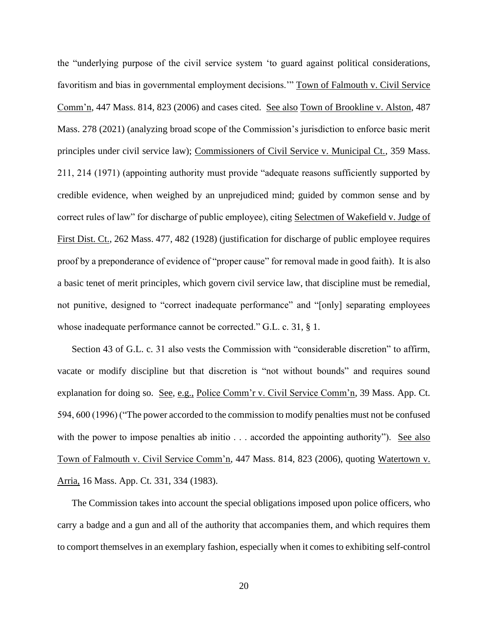the "underlying purpose of the civil service system 'to guard against political considerations, favoritism and bias in governmental employment decisions.'" Town of Falmouth v. Civil Service Comm'n, 447 Mass. 814, 823 (2006) and cases cited. See also Town of Brookline v. Alston, 487 Mass. 278 (2021) (analyzing broad scope of the Commission's jurisdiction to enforce basic merit principles under civil service law); Commissioners of Civil Service v. Municipal Ct., 359 Mass. 211, 214 (1971) (appointing authority must provide "adequate reasons sufficiently supported by credible evidence, when weighed by an unprejudiced mind; guided by common sense and by correct rules of law" for discharge of public employee), citing Selectmen of Wakefield v. Judge of First Dist. Ct., 262 Mass. 477, 482 (1928) (justification for discharge of public employee requires proof by a preponderance of evidence of "proper cause" for removal made in good faith). It is also a basic tenet of merit principles, which govern civil service law, that discipline must be remedial, not punitive, designed to "correct inadequate performance" and "[only] separating employees whose inadequate performance cannot be corrected." G.L. c. 31, § 1.

Section 43 of G.L. c. 31 also vests the Commission with "considerable discretion" to affirm, vacate or modify discipline but that discretion is "not without bounds" and requires sound explanation for doing so. See, e.g., Police Comm'r v. Civil Service Comm'n, 39 Mass. App. Ct. 594, 600 (1996) ("The power accorded to the commission to modify penalties must not be confused with the power to impose penalties ab initio . . . accorded the appointing authority"). See also Town of Falmouth v. Civil Service Comm'n, 447 Mass. 814, 823 (2006), quoting Watertown v. Arria, 16 Mass. App. Ct. 331, 334 (1983).

The Commission takes into account the special obligations imposed upon police officers, who carry a badge and a gun and all of the authority that accompanies them, and which requires them to comport themselves in an exemplary fashion, especially when it comes to exhibiting self-control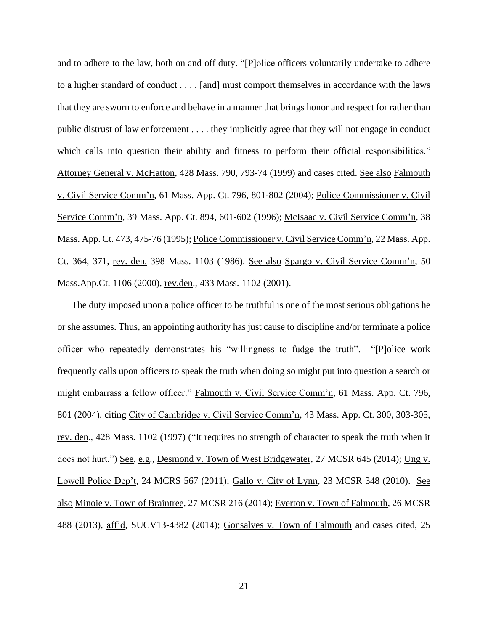and to adhere to the law, both on and off duty. "[P]olice officers voluntarily undertake to adhere to a higher standard of conduct . . . . [and] must comport themselves in accordance with the laws that they are sworn to enforce and behave in a manner that brings honor and respect for rather than public distrust of law enforcement . . . . they implicitly agree that they will not engage in conduct which calls into question their ability and fitness to perform their official responsibilities." Attorney General v. McHatton, 428 Mass. 790, 793-74 (1999) and cases cited. See also Falmouth v. Civil Service Comm'n, 61 Mass. App. Ct. 796, 801-802 (2004); Police Commissioner v. Civil Service Comm'n, 39 Mass. App. Ct. 894, 601-602 (1996); McIsaac v. Civil Service Comm'n, 38 Mass. App. Ct. 473, 475-76 (1995); Police Commissioner v. Civil Service Comm'n, 22 Mass. App. Ct. 364, 371, rev. den. 398 Mass. 1103 (1986). See also Spargo v. Civil Service Comm'n, 50 Mass.App.Ct. 1106 (2000), rev.den., 433 Mass. 1102 (2001).

The duty imposed upon a police officer to be truthful is one of the most serious obligations he or she assumes. Thus, an appointing authority has just cause to discipline and/or terminate a police officer who repeatedly demonstrates his "willingness to fudge the truth". "[P]olice work frequently calls upon officers to speak the truth when doing so might put into question a search or might embarrass a fellow officer." Falmouth v. Civil Service Comm'n, 61 Mass. App. Ct. 796, 801 (2004), citing City of Cambridge v. Civil Service Comm'n, 43 Mass. App. Ct. 300, 303-305, rev. den., 428 Mass. 1102 (1997) ("It requires no strength of character to speak the truth when it does not hurt.") See, e.g., Desmond v. Town of West Bridgewater, 27 MCSR 645 (2014); Ung v. Lowell Police Dep't, 24 MCRS 567 (2011); Gallo v. City of Lynn, 23 MCSR 348 (2010). See also Minoie v. Town of Braintree, 27 MCSR 216 (2014); Everton v. Town of Falmouth, 26 MCSR 488 (2013), aff'd, SUCV13-4382 (2014); Gonsalves v. Town of Falmouth and cases cited, 25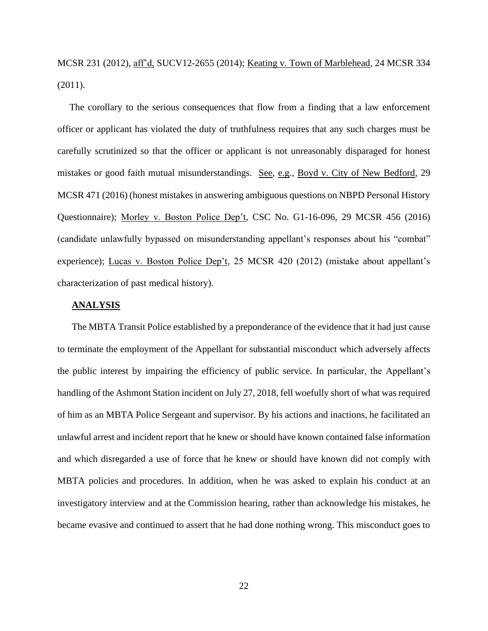MCSR 231 (2012), aff'd, SUCV12-2655 (2014); Keating v. Town of Marblehead, 24 MCSR 334 (2011).

The corollary to the serious consequences that flow from a finding that a law enforcement officer or applicant has violated the duty of truthfulness requires that any such charges must be carefully scrutinized so that the officer or applicant is not unreasonably disparaged for honest mistakes or good faith mutual misunderstandings. See, e.g., Boyd v. City of New Bedford, 29 MCSR 471 (2016) (honest mistakes in answering ambiguous questions on NBPD Personal History Questionnaire); Morley v. Boston Police Dep't, CSC No. G1-16-096, 29 MCSR 456 (2016) (candidate unlawfully bypassed on misunderstanding appellant's responses about his "combat" experience); Lucas v. Boston Police Dep't, 25 MCSR 420 (2012) (mistake about appellant's characterization of past medical history).

#### **ANALYSIS**

The MBTA Transit Police established by a preponderance of the evidence that it had just cause to terminate the employment of the Appellant for substantial misconduct which adversely affects the public interest by impairing the efficiency of public service. In particular, the Appellant's handling of the Ashmont Station incident on July 27, 2018, fell woefully short of what was required of him as an MBTA Police Sergeant and supervisor. By his actions and inactions, he facilitated an unlawful arrest and incident report that he knew or should have known contained false information and which disregarded a use of force that he knew or should have known did not comply with MBTA policies and procedures. In addition, when he was asked to explain his conduct at an investigatory interview and at the Commission hearing, rather than acknowledge his mistakes, he became evasive and continued to assert that he had done nothing wrong. This misconduct goes to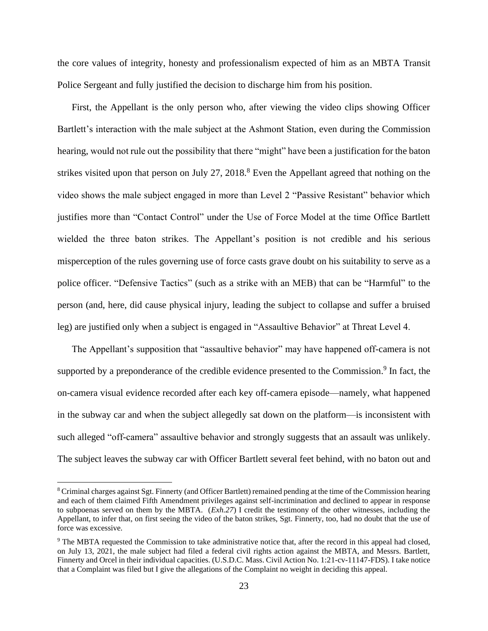the core values of integrity, honesty and professionalism expected of him as an MBTA Transit Police Sergeant and fully justified the decision to discharge him from his position.

First, the Appellant is the only person who, after viewing the video clips showing Officer Bartlett's interaction with the male subject at the Ashmont Station, even during the Commission hearing, would not rule out the possibility that there "might" have been a justification for the baton strikes visited upon that person on July 27, 2018.<sup>8</sup> Even the Appellant agreed that nothing on the video shows the male subject engaged in more than Level 2 "Passive Resistant" behavior which justifies more than "Contact Control" under the Use of Force Model at the time Office Bartlett wielded the three baton strikes. The Appellant's position is not credible and his serious misperception of the rules governing use of force casts grave doubt on his suitability to serve as a police officer. "Defensive Tactics" (such as a strike with an MEB) that can be "Harmful" to the person (and, here, did cause physical injury, leading the subject to collapse and suffer a bruised leg) are justified only when a subject is engaged in "Assaultive Behavior" at Threat Level 4.

The Appellant's supposition that "assaultive behavior" may have happened off-camera is not supported by a preponderance of the credible evidence presented to the Commission.<sup>9</sup> In fact, the on-camera visual evidence recorded after each key off-camera episode—namely, what happened in the subway car and when the subject allegedly sat down on the platform—is inconsistent with such alleged "off-camera" assaultive behavior and strongly suggests that an assault was unlikely. The subject leaves the subway car with Officer Bartlett several feet behind, with no baton out and

<sup>8</sup> Criminal charges against Sgt. Finnerty (and Officer Bartlett) remained pending at the time of the Commission hearing and each of them claimed Fifth Amendment privileges against self-incrimination and declined to appear in response to subpoenas served on them by the MBTA. (*Exh.27*) I credit the testimony of the other witnesses, including the Appellant, to infer that, on first seeing the video of the baton strikes, Sgt. Finnerty, too, had no doubt that the use of force was excessive.

<sup>&</sup>lt;sup>9</sup> The MBTA requested the Commission to take administrative notice that, after the record in this appeal had closed, on July 13, 2021, the male subject had filed a federal civil rights action against the MBTA, and Messrs. Bartlett, Finnerty and Orcel in their individual capacities. (U.S.D.C. Mass. Civil Action No. 1:21-cv-11147-FDS). I take notice that a Complaint was filed but I give the allegations of the Complaint no weight in deciding this appeal.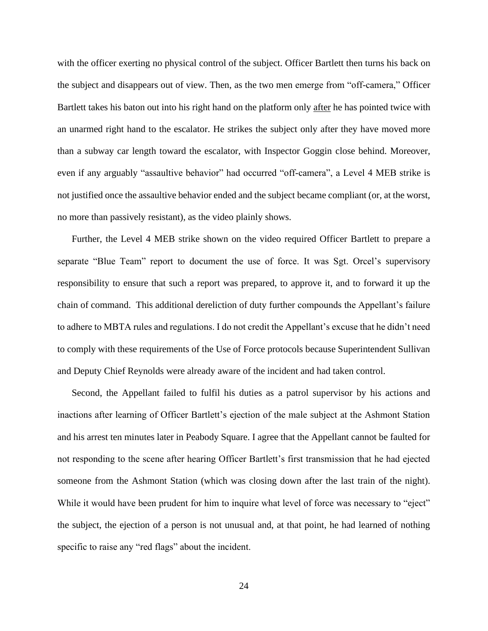with the officer exerting no physical control of the subject. Officer Bartlett then turns his back on the subject and disappears out of view. Then, as the two men emerge from "off-camera," Officer Bartlett takes his baton out into his right hand on the platform only after he has pointed twice with an unarmed right hand to the escalator. He strikes the subject only after they have moved more than a subway car length toward the escalator, with Inspector Goggin close behind. Moreover, even if any arguably "assaultive behavior" had occurred "off-camera", a Level 4 MEB strike is not justified once the assaultive behavior ended and the subject became compliant (or, at the worst, no more than passively resistant), as the video plainly shows.

Further, the Level 4 MEB strike shown on the video required Officer Bartlett to prepare a separate "Blue Team" report to document the use of force. It was Sgt. Orcel's supervisory responsibility to ensure that such a report was prepared, to approve it, and to forward it up the chain of command. This additional dereliction of duty further compounds the Appellant's failure to adhere to MBTA rules and regulations. I do not credit the Appellant's excuse that he didn't need to comply with these requirements of the Use of Force protocols because Superintendent Sullivan and Deputy Chief Reynolds were already aware of the incident and had taken control.

Second, the Appellant failed to fulfil his duties as a patrol supervisor by his actions and inactions after learning of Officer Bartlett's ejection of the male subject at the Ashmont Station and his arrest ten minutes later in Peabody Square. I agree that the Appellant cannot be faulted for not responding to the scene after hearing Officer Bartlett's first transmission that he had ejected someone from the Ashmont Station (which was closing down after the last train of the night). While it would have been prudent for him to inquire what level of force was necessary to "eject" the subject, the ejection of a person is not unusual and, at that point, he had learned of nothing specific to raise any "red flags" about the incident.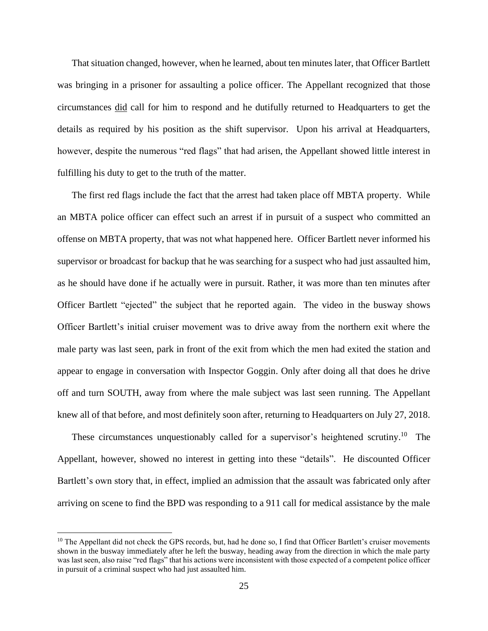That situation changed, however, when he learned, about ten minutes later, that Officer Bartlett was bringing in a prisoner for assaulting a police officer. The Appellant recognized that those circumstances did call for him to respond and he dutifully returned to Headquarters to get the details as required by his position as the shift supervisor. Upon his arrival at Headquarters, however, despite the numerous "red flags" that had arisen, the Appellant showed little interest in fulfilling his duty to get to the truth of the matter.

The first red flags include the fact that the arrest had taken place off MBTA property. While an MBTA police officer can effect such an arrest if in pursuit of a suspect who committed an offense on MBTA property, that was not what happened here. Officer Bartlett never informed his supervisor or broadcast for backup that he was searching for a suspect who had just assaulted him, as he should have done if he actually were in pursuit. Rather, it was more than ten minutes after Officer Bartlett "ejected" the subject that he reported again. The video in the busway shows Officer Bartlett's initial cruiser movement was to drive away from the northern exit where the male party was last seen, park in front of the exit from which the men had exited the station and appear to engage in conversation with Inspector Goggin. Only after doing all that does he drive off and turn SOUTH, away from where the male subject was last seen running. The Appellant knew all of that before, and most definitely soon after, returning to Headquarters on July 27, 2018.

These circumstances unquestionably called for a supervisor's heightened scrutiny.<sup>10</sup> The Appellant, however, showed no interest in getting into these "details". He discounted Officer Bartlett's own story that, in effect, implied an admission that the assault was fabricated only after arriving on scene to find the BPD was responding to a 911 call for medical assistance by the male

 $10$  The Appellant did not check the GPS records, but, had he done so, I find that Officer Bartlett's cruiser movements shown in the busway immediately after he left the busway, heading away from the direction in which the male party was last seen, also raise "red flags" that his actions were inconsistent with those expected of a competent police officer in pursuit of a criminal suspect who had just assaulted him.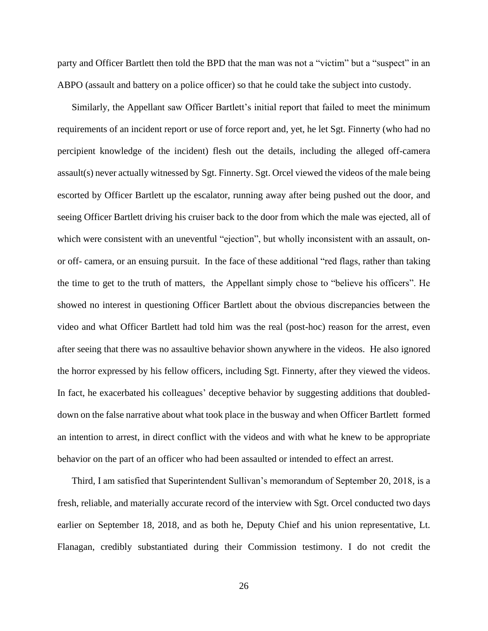party and Officer Bartlett then told the BPD that the man was not a "victim" but a "suspect" in an ABPO (assault and battery on a police officer) so that he could take the subject into custody.

Similarly, the Appellant saw Officer Bartlett's initial report that failed to meet the minimum requirements of an incident report or use of force report and, yet, he let Sgt. Finnerty (who had no percipient knowledge of the incident) flesh out the details, including the alleged off-camera assault(s) never actually witnessed by Sgt. Finnerty. Sgt. Orcel viewed the videos of the male being escorted by Officer Bartlett up the escalator, running away after being pushed out the door, and seeing Officer Bartlett driving his cruiser back to the door from which the male was ejected, all of which were consistent with an uneventful "ejection", but wholly inconsistent with an assault, onor off- camera, or an ensuing pursuit. In the face of these additional "red flags, rather than taking the time to get to the truth of matters, the Appellant simply chose to "believe his officers". He showed no interest in questioning Officer Bartlett about the obvious discrepancies between the video and what Officer Bartlett had told him was the real (post-hoc) reason for the arrest, even after seeing that there was no assaultive behavior shown anywhere in the videos. He also ignored the horror expressed by his fellow officers, including Sgt. Finnerty, after they viewed the videos. In fact, he exacerbated his colleagues' deceptive behavior by suggesting additions that doubleddown on the false narrative about what took place in the busway and when Officer Bartlett formed an intention to arrest, in direct conflict with the videos and with what he knew to be appropriate behavior on the part of an officer who had been assaulted or intended to effect an arrest.

Third, I am satisfied that Superintendent Sullivan's memorandum of September 20, 2018, is a fresh, reliable, and materially accurate record of the interview with Sgt. Orcel conducted two days earlier on September 18, 2018, and as both he, Deputy Chief and his union representative, Lt. Flanagan, credibly substantiated during their Commission testimony. I do not credit the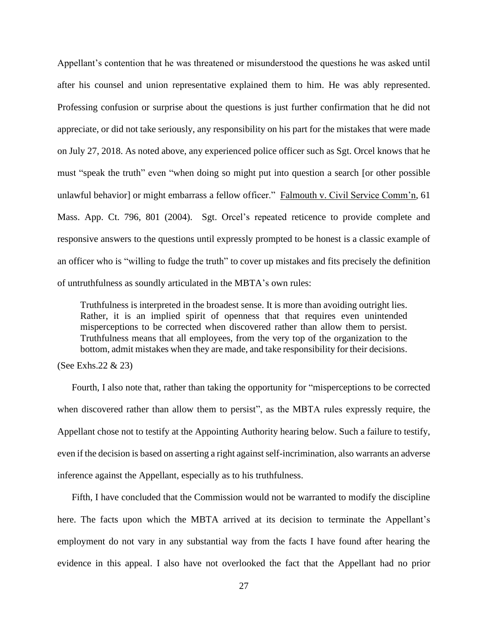Appellant's contention that he was threatened or misunderstood the questions he was asked until after his counsel and union representative explained them to him. He was ably represented. Professing confusion or surprise about the questions is just further confirmation that he did not appreciate, or did not take seriously, any responsibility on his part for the mistakes that were made on July 27, 2018. As noted above, any experienced police officer such as Sgt. Orcel knows that he must "speak the truth" even "when doing so might put into question a search [or other possible unlawful behavior] or might embarrass a fellow officer." Falmouth v. Civil Service Comm'n, 61 Mass. App. Ct. 796, 801 (2004). Sgt. Orcel's repeated reticence to provide complete and responsive answers to the questions until expressly prompted to be honest is a classic example of an officer who is "willing to fudge the truth" to cover up mistakes and fits precisely the definition of untruthfulness as soundly articulated in the MBTA's own rules:

Truthfulness is interpreted in the broadest sense. It is more than avoiding outright lies. Rather, it is an implied spirit of openness that that requires even unintended misperceptions to be corrected when discovered rather than allow them to persist. Truthfulness means that all employees, from the very top of the organization to the bottom, admit mistakes when they are made, and take responsibility for their decisions.

(See Exhs.22 & 23)

Fourth, I also note that, rather than taking the opportunity for "misperceptions to be corrected when discovered rather than allow them to persist", as the MBTA rules expressly require, the Appellant chose not to testify at the Appointing Authority hearing below. Such a failure to testify, even if the decision is based on asserting a right against self-incrimination, also warrants an adverse inference against the Appellant, especially as to his truthfulness.

Fifth, I have concluded that the Commission would not be warranted to modify the discipline here. The facts upon which the MBTA arrived at its decision to terminate the Appellant's employment do not vary in any substantial way from the facts I have found after hearing the evidence in this appeal. I also have not overlooked the fact that the Appellant had no prior